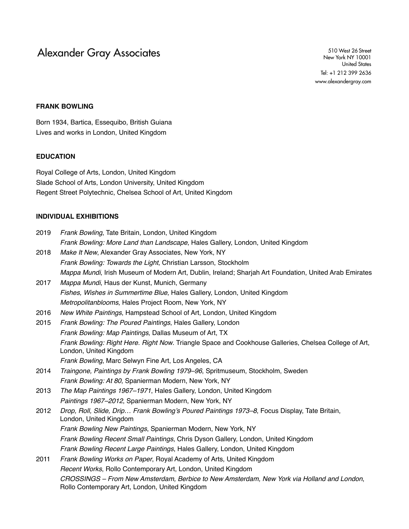Alexander Gray Associates 510 West 26 Street

New York NY 10001 United States Tel: +1 212 399 2636 www.alexandergray.com

# **FRANK BOWLING**

Born 1934, Bartica, Essequibo, British Guiana Lives and works in London, United Kingdom

#### **EDUCATION**

Royal College of Arts, London, United Kingdom Slade School of Arts, London University, United Kingdom Regent Street Polytechnic, Chelsea School of Art, United Kingdom

#### **INDIVIDUAL EXHIBITIONS**

| 2019        | <i>Frank Bowling</i> , Tate Britain, London, United Kingdom                    |
|-------------|--------------------------------------------------------------------------------|
|             | Frank Bowling: More Land than Landscape, Hales Gallery, London, United Kingdom |
| <b>0010</b> | Make H New Alexander Grov Associates, New York, NV                             |

- 2018 *Make It New*, Alexander Gray Associates, New York, NY *Frank Bowling: Towards the Light*, Christian Larsson, Stockholm *Mappa Mundi*, Irish Museum of Modern Art, Dublin, Ireland; Sharjah Art Foundation, United Arab Emirates 2017 *Mappa Mundi*, Haus der Kunst, Munich, Germany
- *Fishes, Wishes in Summertime Blue*, Hales Gallery, London, United Kingdom *Metropolitanblooms*, Hales Project Room, New York, NY
- 2016 *New White Paintings*, Hampstead School of Art, London, United Kingdom
- 2015 *Frank Bowling: The Poured Paintings*, Hales Gallery, London *Frank Bowling: Map Paintings*, Dallas Museum of Art, TX *Frank Bowling: Right Here. Right Now*. Triangle Space and Cookhouse Galleries, Chelsea College of Art, London, United Kingdom *Frank Bowling*, Marc Selwyn Fine Art, Los Angeles, CA
- 2014 *Traingone, Paintings by Frank Bowling 1979–96*, Spritmuseum, Stockholm, Sweden *Frank Bowling: At 80*, Spanierman Modern, New York, NY
- 2013 *The Map Paintings 1967–1971*, Hales Gallery, London, United Kingdom *Paintings 1967–2012*, Spanierman Modern, New York, NY
- 2012 *Drop, Roll, Slide, Drip… Frank Bowling's Poured Paintings 1973–8*, Focus Display, Tate Britain, London, United Kingdom *Frank Bowling New Paintings*, Spanierman Modern, New York, NY *Frank Bowling Recent Small Paintings*, Chris Dyson Gallery, London, United Kingdom *Frank Bowling Recent Large Paintings*, Hales Gallery, London, United Kingdom
- 2011 *Frank Bowling Works on Paper*, Royal Academy of Arts, United Kingdom *Recent Works*, Rollo Contemporary Art, London, United Kingdom *CROSSINGS – From New Amsterdam, Berbice to New Amsterdam, New York via Holland and London*, Rollo Contemporary Art, London, United Kingdom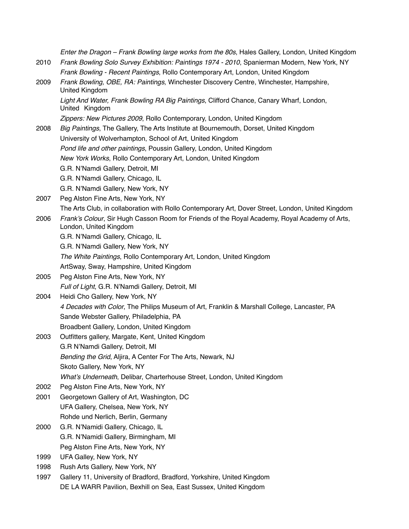*Enter the Dragon – Frank Bowling large works from the 80s*, Hales Gallery, London, United Kingdom 2010 *Frank Bowling Solo Survey Exhibition: Paintings 1974 - 2010*, Spanierman Modern, New York, NY *Frank Bowling - Recent Paintings*, Rollo Contemporary Art, London, United Kingdom 2009 *Frank Bowling, OBE, RA: Paintings*, Winchester Discovery Centre, Winchester, Hampshire, United Kingdom *Light And Water, Frank Bowling RA Big Paintings*, Clifford Chance, Canary Wharf, London, United Kingdom *Zippers: New Pictures 2009*, Rollo Contemporary, London, United Kingdom 2008 *Big Paintings*, The Gallery, The Arts Institute at Bournemouth, Dorset, United Kingdom University of Wolverhampton, School of Art, United Kingdom *Pond life and other paintings*, Poussin Gallery, London, United Kingdom *New York Works*, Rollo Contemporary Art, London, United Kingdom G.R. N'Namdi Gallery, Detroit, MI G.R. N'Namdi Gallery, Chicago, IL G.R. N'Namdi Gallery, New York, NY 2007 Peg Alston Fine Arts, New York, NY The Arts Club, in collaboration with Rollo Contemporary Art, Dover Street, London, United Kingdom 2006 *Frank's Colour*, Sir Hugh Casson Room for Friends of the Royal Academy, Royal Academy of Arts, London, United Kingdom G.R. N'Namdi Gallery, Chicago, IL G.R. N'Namdi Gallery, New York, NY *The White Paintings*, Rollo Contemporary Art, London, United Kingdom ArtSway, Sway, Hampshire, United Kingdom 2005 Peg Alston Fine Arts, New York, NY *Full of Light*, G.R. N'Namdi Gallery, Detroit, MI 2004 Heidi Cho Gallery, New York, NY *4 Decades with Color*, The Philips Museum of Art, Franklin & Marshall College, Lancaster, PA Sande Webster Gallery, Philadelphia, PA Broadbent Gallery, London, United Kingdom 2003 Outfitters gallery, Margate, Kent, United Kingdom G.R N'Namdi Gallery, Detroit, MI *Bending the Grid*, Aljira, A Center For The Arts, Newark, NJ Skoto Gallery, New York, NY *What's Underneath*, Delibar, Charterhouse Street, London, United Kingdom 2002 Peg Alston Fine Arts, New York, NY 2001 Georgetown Gallery of Art, Washington, DC UFA Gallery, Chelsea, New York, NY Rohde und Nerlich, Berlin, Germany 2000 G.R. N'Namidi Gallery, Chicago, IL G.R. N'Namidi Gallery, Birmingham, MI Peg Alston Fine Arts, New York, NY 1999 UFA Galley, New York, NY 1998 Rush Arts Gallery, New York, NY 1997 Gallery 11, University of Bradford, Bradford, Yorkshire, United Kingdom DE LA WARR Pavilion, Bexhill on Sea, East Sussex, United Kingdom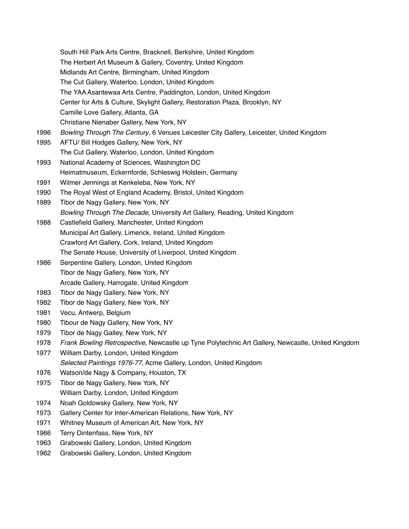South Hill Park Arts Centre, Bracknell, Berkshire, United Kingdom The Herbert Art Museum & Gallery, Coventry, United Kingdom Midlands Art Centre, Birmingham, United Kingdom The Cut Gallery, Waterloo, London, United Kingdom The YAA Asantewaa Arts Centre, Paddington, London, United Kingdom Center for Arts & Culture, Skylight Gallery, Restoration Plaza, Brooklyn, NY Camille Love Gallery, Atlanta, GA Christiane Nienaber Gallery, New York, NY 1996 *Bowling Through The Century*, 6 Venues Leicester City Gallery, Leicester, United Kingdom 1995 AFTU/ Bill Hodges Gallery, New York, NY The Cut Gallery, Waterloo, London, United Kingdom 1993 National Academy of Sciences, Washington DC Heimatmuseum, Eckernforde, Schleswig Holstein, Germany 1991 Wilmer Jennings at Kenkeleba, New York, NY 1990 The Royal West of England Academy, Bristol, United Kingdom 1989 Tibor de Nagy Gallery, New York, NY *Bowling Through The Decade*, University Art Gallery, Reading, United Kingdom 1988 Castlefield Gallery, Manchester, United Kingdom Municipal Art Gallery, Limerick, Ireland, United Kingdom Crawford Art Gallery, Cork, Ireland, United Kingdom The Senate House, University of Liverpool, United Kingdom 1986 Serpentine Gallery, London, United Kingdom Tibor de Nagy Gallery, New York, NY Arcade Gallery, Harrogate, United Kingdom 1983 Tibor de Nagy Gallery, New York, NY 1982 Tibor de Nagy Gallery, New York, NY 1981 Vecu, Antwerp, Belgium 1980 Tibour de Nagy Gallery, New York, NY 1979 Tibor de Nagy Galley, New York, NY 1978 *Frank Bowling Retrospective*, Newcastle up Tyne Polytechnic Art Gallery, Newcastle, United Kingdom 1977 William Darby, London, United Kingdom *Selected Paintings 1976-77*, Acme Gallery, London, United Kingdom 1976 Watson/de Nagy & Company, Houston, TX 1975 Tibor de Nagy Gallery, New York, NY William Darby, London, United Kingdom 1974 Noah Goldowsky Gallery, New York, NY 1973 Gallery Center for Inter-American Relations, New York, NY 1971 Whitney Museum of American Art, New York, NY 1966 Terry Dintenfass, New York, NY 1963 Grabowski Gallery, London, United Kingdom 1962 Grabowski Gallery, London, United Kingdom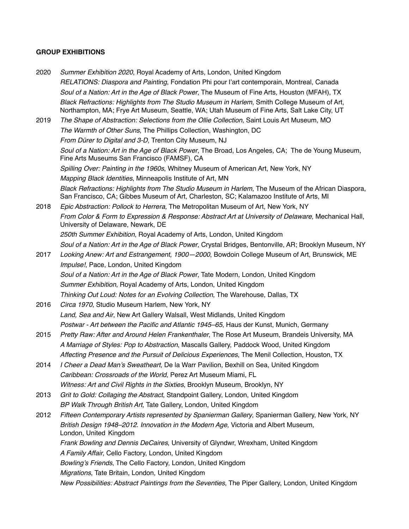## **GROUP EXHIBITIONS**

2020 *Summer Exhibition 2020*, Royal Academy of Arts, London, United Kingdom *RELATIONS: Diaspora and Painting*, Fondation Phi pour l'art contemporain, Montreal, Canada *Soul of a Nation: Art in the Age of Black Power*, The Museum of Fine Arts, Houston (MFAH), TX *Black Refractions: Highlights from The Studio Museum in Harlem*, Smith College Museum of Art, Northampton, MA; Frye Art Museum, Seattle, WA; Utah Museum of Fine Arts, Salt Lake City, UT 2019 *The Shape of Abstraction: Selections from the Ollie Collection*, Saint Louis Art Museum, MO *The Warmth of Other Suns*, The Phillips Collection, Washington, DC *From Dürer to Digital and 3-D*, Trenton City Museum, NJ *Soul of a Nation: Art in the Age of Black Power*, The Broad, Los Angeles, CA; The de Young Museum, Fine Arts Museums San Francisco (FAMSF), CA *Spilling Over: Painting in the 1960s*, Whitney Museum of American Art, New York, NY *Mapping Black Identities*, Minneapolis Institute of Art, MN *Black Refractions: Highlights from The Studio Museum in Harlem*, The Museum of the African Diaspora, San Francisco, CA; Gibbes Museum of Art, Charleston, SC; Kalamazoo Institute of Arts, MI 2018 *Epic Abstraction: Pollock to Herrera*, The Metropolitan Museum of Art, New York, NY *From Color & Form to Expression & Response: Abstract Art at University of Delaware*, Mechanical Hall, University of Delaware, Newark, DE *250th Summer Exhibition*, Royal Academy of Arts, London, United Kingdom *Soul of a Nation: Art in the Age of Black Power*, Crystal Bridges, Bentonville, AR; Brooklyn Museum, NY 2017 *Looking Anew: Art and Estrangement, 1900—2000*, Bowdoin College Museum of Art, Brunswick, ME *Impulse!*, Pace, London, United Kingdom *Soul of a Nation: Art in the Age of Black Power*, Tate Modern, London, United Kingdom *Summer Exhibition*, Royal Academy of Arts, London, United Kingdom *Thinking Out Loud: Notes for an Evolving Collection*, The Warehouse, Dallas, TX 2016 *Circa 1970*, Studio Museum Harlem, New York, NY *Land, Sea and Air*, New Art Gallery Walsall, West Midlands, United Kingdom *Postwar - Art between the Pacific and Atlantic 1945–65*, Haus der Kunst, Munich, Germany 2015 *Pretty Raw: After and Around Helen Frankenthaler*, The Rose Art Museum, Brandeis University, MA *A Marriage of Styles: Pop to Abstraction*, Mascalls Gallery, Paddock Wood, United Kingdom *Affecting Presence and the Pursuit of Delicious Experiences*, The Menil Collection, Houston, TX 2014 *I Cheer a Dead Man's Sweatheart*, De la Warr Pavilion, Bexhill on Sea, United Kingdom *Caribbean: Crossroads of the World*, Perez Art Museum Miami, FL *Witness: Art and Civil Rights in the Sixties*, Brooklyn Museum, Brooklyn, NY 2013 *Grit to Gold: Collaging the Abstract*, Standpoint Gallery, London, United Kingdom *BP Walk Through British Art*, Tate Gallery, London, United Kingdom 2012 *Fifteen Contemporary Artists represented by Spanierman Gallery*, Spanierman Gallery, New York, NY *British Design 1948–2012. Innovation in the Modern Age*, Victoria and Albert Museum, London, United Kingdom *Frank Bowling and Dennis DeCaires*, University of Glyndwr, Wrexham, United Kingdom *A Family Affair*, Cello Factory, London, United Kingdom *Bowling's Friends*, The Cello Factory, London, United Kingdom *Migrations*, Tate Britain, London, United Kingdom *New Possibilities: Abstract Paintings from the Seventies*, The Piper Gallery, London, United Kingdom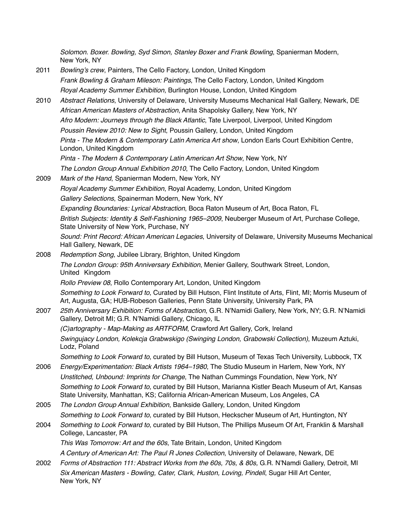*Solomon. Boxer. Bowling, Syd Simon, Stanley Boxer and Frank Bowling*, Spanierman Modern, New York, NY

- 2011 *Bowling's crew*, Painters, The Cello Factory, London, United Kingdom *Frank Bowling & Graham Mileson: Paintings*, The Cello Factory, London, United Kingdom *Royal Academy Summer Exhibition*, Burlington House, London, United Kingdom
- 2010 *Abstract Relations*, University of Delaware, University Museums Mechanical Hall Gallery, Newark, DE *African American Masters of Abstraction*, Anita Shapolsky Gallery, New York, NY *Afro Modern: Journeys through the Black Atlantic*, Tate Liverpool, Liverpool, United Kingdom *Poussin Review 2010: New to Sight*, Poussin Gallery, London, United Kingdom *Pinta - The Modern & Contemporary Latin America Art show*, London Earls Court Exhibition Centre, London, United Kingdom *Pinta - The Modern & Contemporary Latin American Art Show*, New York, NY *The London Group Annual Exhibition 2010*, The Cello Factory, London, United Kingdom 2009 *Mark of the Hand*, Spanierman Modern, New York, NY *Royal Academy Summer Exhibition*, Royal Academy, London, United Kingdom *Gallery Selections*, Spainerman Modern, New York, NY
	- *Expanding Boundaries: Lyrical Abstraction*, Boca Raton Museum of Art, Boca Raton, FL

*British Subjects: Identity & Self-Fashioning 1965–2009*, Neuberger Museum of Art, Purchase College, State University of New York, Purchase, NY

*Sound: Print Record: African American Legacies*, University of Delaware, University Museums Mechanical Hall Gallery, Newark, DE

2008 *Redemption Song*, Jubilee Library, Brighton, United Kingdom *The London Group: 95th Anniversary Exhibition*, Menier Gallery, Southwark Street, London, United Kingdom *Rollo Preview 08*, Rollo Contemporary Art, London, United Kingdom

*Something to Look Forward to*, Curated by Bill Hutson, Flint Institute of Arts, Flint, MI; Morris Museum of Art, Augusta, GA; HUB-Robeson Galleries, Penn State University, University Park, PA

2007 *25th Anniversary Exhibition: Forms of Abstraction*, G.R. N'Namidi Gallery, New York, NY; G.R. N'Namidi Gallery, Detroit MI; G.R. N'Namidi Gallery, Chicago, IL

*(C)artography - Map-Making as ARTFORM*, Crawford Art Gallery, Cork, Ireland *Swingujacy London, Kolekcja Grabwskigo (Swinging London, Grabowski Collection)*, Muzeum Aztuki, Lodz, Poland

*Something to Look Forward to*, curated by Bill Hutson, Museum of Texas Tech University, Lubbock, TX

- 2006 *Energy/Experimentation: Black Artists 1964–1980*, The Studio Museum in Harlem, New York, NY *Unstitched, Unbound: Imprints for Change*, The Nathan Cummings Foundation, New York, NY *Something to Look Forward to,* curated by Bill Hutson, Marianna Kistler Beach Museum of Art, Kansas State University, Manhattan, KS; California African-American Museum, Los Angeles, CA
- 2005 *The London Group Annual Exhibition*, Bankside Gallery, London, United Kingdom *Something to Look Forward to*, curated by Bill Hutson, Heckscher Museum of Art, Huntington, NY
- 2004 *Something to Look Forward to*, curated by Bill Hutson, The Phillips Museum Of Art, Franklin & Marshall College, Lancaster, PA

*This Was Tomorrow: Art and the 60s*, Tate Britain, London, United Kingdom

*A Century of American Art: The Paul R Jones Collection*, University of Delaware, Newark, DE

2002 *Forms of Abstraction 111: Abstract Works from the 60s, 70s, & 80s,* G.R. N'Namdi Gallery, Detroit, MI *Six American Masters - Bowling, Cater, Clark, Huston, Loving, Pindell*, Sugar Hill Art Center, New York, NY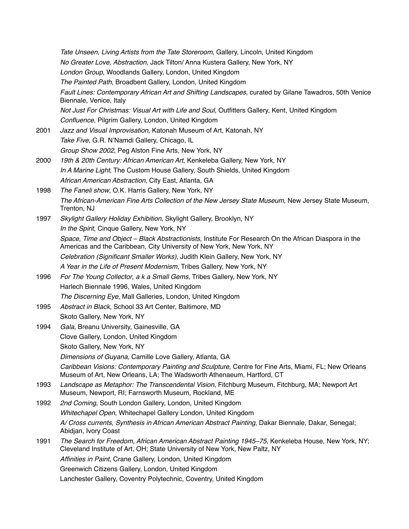*Tate Unseen, Living Artists from the Tate Storeroom*, Gallery, Lincoln, United Kingdom *No Greater Love*, *Abstraction*, Jack Tilton/ Anna Kustera Gallery, New York, NY *London Group*, Woodlands Gallery, London, United Kingdom *The Painted Path*, Broadbent Gallery, London, United Kingdom *Fault Lines: Contemporary African Art and Shifting Landscapes*, curated by Gilane Tawadros, 50th Venice Biennale, Venice, Italy *Not Just For Christmas: Visual Art with Life and Soul*, Outfitters Gallery, Kent, United Kingdom *Confluence*, Pilgrim Gallery, London, United Kingdom 2001 *Jazz and Visual Improvisation*, Katonah Museum of Art, Katonah, NY *Take Five*, G.R. N'Namdi Gallery, Chicago, IL *Group Show 2002*, Peg Alston Fine Arts, New York, NY 2000 *19th & 20th Century: African American Art*, Kenkeleba Gallery, New York, NY *In A Marine Light*, The Custom House Gallery, South Shields, United Kingdom *African American Abstraction*, City East, Atlanta, GA 1998 *The Faneli show*, O.K. Harris Gallery, New York, NY *The African-American Fine Arts Collection of the New Jersey State Museum*, New Jersey State Museum, Trenton, NJ 1997 *Skylight Gallery Holiday Exhibition*, Skylight Gallery, Brooklyn, NY *In the Spirit*, Cinque Gallery, New York, NY *Space, Time and Object – Black Abstractionists*, Institute For Research On the African Diaspora in the Americas and the Caribbean, City University of New York, New York, NY *Celebration (Significant Smaller Works)*, Judith Klein Gallery, New York, NY *A Year in the Life of Present Modernism*, Tribes Gallery, New York, NY 1996 *For The Young Collector*, *a k a Small Gems*, Tribes Gallery, New York, NY Harlech Biennale 1996, Wales, United Kingdom *The Discerning Eye*, Mall Galleries, London, United Kingdom 1995 *Abstract in Black*, School 33 Art Center, Baltimore, MD Skoto Gallery, New York, NY 1994 *Gala*, Breanu University, Gainesville, GA Clove Gallery, London, United Kingdom Skoto Gallery, New York, NY *Dimensions of Guyana*, Camille Love Gallery, Atlanta, GA *Caribbean Visions: Contemporary Painting and Sculpture*, Centre for Fine Arts, Miami, FL; New Orleans Museum of Art, New Orleans, LA; The Wadsworth Athenaeum, Hartford, CT 1993 *Landscape as Metaphor: The Transcendental Vision*, Fitchburg Museum, Fitchburg, MA; Newport Art Museum, Newport, RI; Farnsworth Museum, Rockland, ME 1992 *2nd Coming*, South London Gallery, London, United Kingdom *Whitechapel Open*, Whitechapel Gallery London, United Kingdom *A/ Cross currents, Synthesis in African American Abstract Painting*, Dakar Biennale, Dakar, Senegal; Abidjan, Ivory Coast 1991 *The Search for Freedom, African American Abstract Painting 1945–75*, Kenkeleba House, New York, NY; Cleveland Institute of Art, OH; State University of New York, New Paltz, NY *Affinities in Paint*, Crane Gallery, London, United Kingdom Greenwich Citizens Gallery, London, United Kingdom Lanchester Gallery, Coventry Polytechnic, Coventry, United Kingdom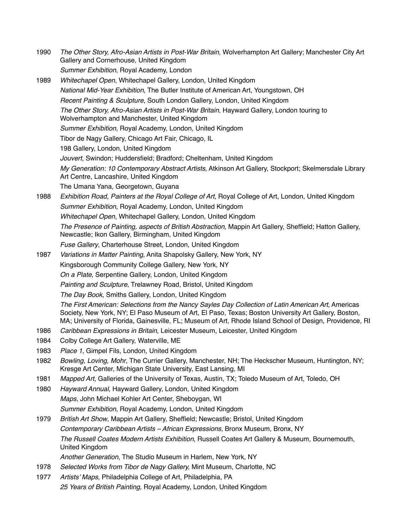- 1990 *The Other Story, Afro-Asian Artists in Post-War Britain,* Wolverhampton Art Gallery; Manchester City Art Gallery and Cornerhouse, United Kingdom *Summer Exhibition*, Royal Academy, London
- 1989 *Whitechapel Open*, Whitechapel Gallery, London, United Kingdom *National Mid-Year Exhibition*, The Butler Institute of American Art, Youngstown, OH *Recent Painting & Sculpture*, South London Gallery, London, United Kingdom *The Other Story, Afro-Asian Artists in Post-War Britain*, Hayward Gallery, London touring to Wolverhampton and Manchester, United Kingdom *Summer Exhibition*, Royal Academy, London, United Kingdom Tibor de Nagy Gallery, Chicago Art Fair, Chicago, IL 198 Gallery, London, United Kingdom *Jouvert*, Swindon; Huddersfield; Bradford; Cheltenham, United Kingdom *My Generation: 10 Contemporary Abstract Artists*, Atkinson Art Gallery, Stockport; Skelmersdale Library Art Centre, Lancashire, United Kingdom The Umana Yana, Georgetown, Guyana 1988 *Exhibition Road, Painters at the Royal College of Art*, Royal College of Art, London, United Kingdom *Summer Exhibition*, Royal Academy, London, United Kingdom *Whitechapel Open*, Whitechapel Gallery, London, United Kingdom *The Presence of Painting, aspects of British Abstraction*, Mappin Art Gallery, Sheffield; Hatton Gallery, Newcastle; Ikon Gallery, Birmingham, United Kingdom *Fuse Gallery*, Charterhouse Street, London, United Kingdom
- 1987 *Variations in Matter Painting*, Anita Shapolsky Gallery, New York, NY Kingsborough Community College Gallery, New York, NY *On a Plate*, Serpentine Gallery, London, United Kingdom *Painting and Sculpture*, Trelawney Road, Bristol, United Kingdom *The Day Book*, Smiths Gallery, London, United Kingdom *The First American: Selections from the Nancy Sayles Day Collection of Latin American Art*, Americas Society, New York, NY; El Paso Museum of Art, El Paso, Texas; Boston University Art Gallery, Boston, MA; University of Florida, Gainesville, FL; Museum of Art, Rhode Island School of Design, Providence, RI
- 1986 *Caribbean Expressions in Britain*, Leicester Museum, Leicester, United Kingdom
- 1984 Colby College Art Gallery, Waterville, ME
- 1983 *Place 1*, Gimpel Fils, London, United Kingdom
- 1982 *Bowling, Loving, Mohr*, The Currier Gallery, Manchester, NH; The Heckscher Museum, Huntington, NY; Kresge Art Center, Michigan State University, East Lansing, MI
- 1981 *Mapped Art*, Galleries of the University of Texas, Austin, TX; Toledo Museum of Art, Toledo, OH
- 1980 *Hayward Annual*, Hayward Gallery, London, United Kingdom *Maps*, John Michael Kohler Art Center, Sheboygan, WI *Summer Exhibition*, Royal Academy, London, United Kingdom
- 1979 *British Art Show*, Mappin Art Gallery, Sheffield; Newcastle; Bristol, United Kingdom *Contemporary Caribbean Artists – African Expressions*, Bronx Museum, Bronx, NY *The Russell Coates Modern Artists Exhibition*, Russell Coates Art Gallery & Museum, Bournemouth, United Kingdom
	- *Another Generation*, The Studio Museum in Harlem, New York, NY
- 1978 *Selected Works from Tibor de Nagy Gallery,* Mint Museum, Charlotte, NC
- 1977 *Artists' Maps*, Philadelphia College of Art, Philadelphia, PA *25 Years of British Painting*, Royal Academy, London, United Kingdom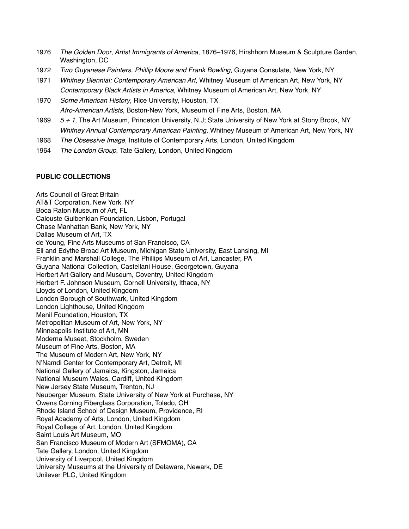- 1976 *The Golden Door*, *Artist Immigrants of America*, 1876–1976, Hirshhorn Museum & Sculpture Garden, Washington, DC
- 1972 *Two Guyanese Painters, Phillip Moore and Frank Bowling*, Guyana Consulate, New York, NY
- 1971 *Whitney Biennial: Contemporary American Art*, Whitney Museum of American Art, New York, NY *Contemporary Black Artists in America*, Whitney Museum of American Art, New York, NY
- 1970 *Some American History*, Rice University, Houston, TX *Afro-American Artists*, Boston-New York, Museum of Fine Arts, Boston, MA
- 1969 *5 + 1*, The Art Museum, Princeton University, N.J; State University of New York at Stony Brook, NY *Whitney Annual Contemporary American Painting*, Whitney Museum of American Art, New York, NY
- 1968 *The Obsessive Image*, Institute of Contemporary Arts, London, United Kingdom
- 1964 *The London Group*, Tate Gallery, London, United Kingdom

## **PUBLIC COLLECTIONS**

Arts Council of Great Britain AT&T Corporation, New York, NY Boca Raton Museum of Art, FL Calouste Gulbenkian Foundation, Lisbon, Portugal Chase Manhattan Bank, New York, NY Dallas Museum of Art, TX de Young, Fine Arts Museums of San Francisco, CA Eli and Edythe Broad Art Museum, Michigan State University, East Lansing, MI Franklin and Marshall College, The Phillips Museum of Art, Lancaster, PA Guyana National Collection, Castellani House, Georgetown, Guyana Herbert Art Gallery and Museum, Coventry, United Kingdom Herbert F. Johnson Museum, Cornell University, Ithaca, NY Lloyds of London, United Kingdom London Borough of Southwark, United Kingdom London Lighthouse, United Kingdom Menil Foundation, Houston, TX Metropolitan Museum of Art, New York, NY Minneapolis Institute of Art, MN Moderna Museet, Stockholm, Sweden Museum of Fine Arts, Boston, MA The Museum of Modern Art, New York, NY N'Namdi Center for Contemporary Art, Detroit, MI National Gallery of Jamaica, Kingston, Jamaica National Museum Wales, Cardiff, United Kingdom New Jersey State Museum, Trenton, NJ Neuberger Museum, State University of New York at Purchase, NY Owens Corning Fiberglass Corporation, Toledo, OH Rhode Island School of Design Museum, Providence, RI Royal Academy of Arts, London, United Kingdom Royal College of Art, London, United Kingdom Saint Louis Art Museum, MO San Francisco Museum of Modern Art (SFMOMA), CA Tate Gallery, London, United Kingdom University of Liverpool, United Kingdom University Museums at the University of Delaware, Newark, DE Unilever PLC, United Kingdom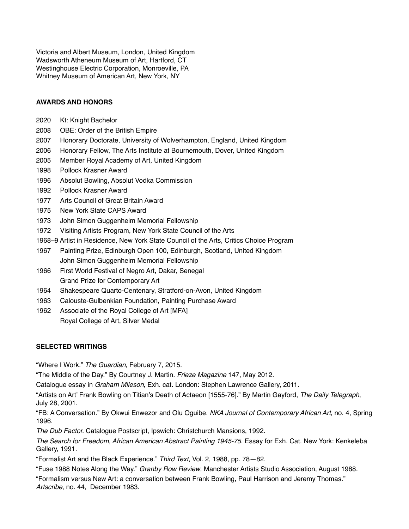Victoria and Albert Museum, London, United Kingdom Wadsworth Atheneum Museum of Art, Hartford, CT Westinghouse Electric Corporation, Monroeville, PA Whitney Museum of American Art, New York, NY

#### **AWARDS AND HONORS**

- 2020 Kt: Knight Bachelor
- 2008 OBE: Order of the British Empire
- 2007 Honorary Doctorate, University of Wolverhampton, England, United Kingdom
- 2006 Honorary Fellow, The Arts Institute at Bournemouth, Dover, United Kingdom
- 2005 Member Royal Academy of Art, United Kingdom
- 1998 Pollock Krasner Award
- 1996 Absolut Bowling, Absolut Vodka Commission
- 1992 Pollock Krasner Award
- 1977 Arts Council of Great Britain Award
- 1975 New York State CAPS Award
- 1973 John Simon Guggenheim Memorial Fellowship
- 1972 Visiting Artists Program, New York State Council of the Arts
- 1968–9 Artist in Residence, New York State Council of the Arts, Critics Choice Program
- 1967 Painting Prize, Edinburgh Open 100, Edinburgh, Scotland, United Kingdom John Simon Guggenheim Memorial Fellowship
- 1966 First World Festival of Negro Art, Dakar, Senegal Grand Prize for Contemporary Art
- 1964 Shakespeare Quarto-Centenary, Stratford-on-Avon, United Kingdom
- 1963 Calouste-Gulbenkian Foundation, Painting Purchase Award
- 1962 Associate of the Royal College of Art [MFA] Royal College of Art, Silver Medal

## **SELECTED WRITINGS**

"Where I Work." *The Guardian*, February 7, 2015.

"The Middle of the Day." By Courtney J. Martin. *Frieze Magazine* 147, May 2012.

Catalogue essay in *Graham Mileson*, Exh. cat. London: Stephen Lawrence Gallery, 2011.

"Artists on Art' Frank Bowling on Titian's Death of Actaeon [1555-76]." By Martin Gayford, *The Daily Telegraph*, July 28, 2001.

"FB: A Conversation." By Okwui Enwezor and Olu Oguibe. *NKA Journal of Contemporary African Art*, no. 4, Spring 1996.

*The Dub Factor.* Catalogue Postscript, Ipswich: Christchurch Mansions, 1992.

*The Search for Freedom, African American Abstract Painting 1945-75*. Essay for Exh. Cat. New York: Kenkeleba Gallery, 1991.

"Formalist Art and the Black Experience." *Third Text*, Vol. 2, 1988, pp. 78—82.

"Fuse 1988 Notes Along the Way." *Granby Row Review*, Manchester Artists Studio Association, August 1988.

"Formalism versus New Art: a conversation between Frank Bowling, Paul Harrison and Jeremy Thomas." *Artscribe*, no. 44, December 1983.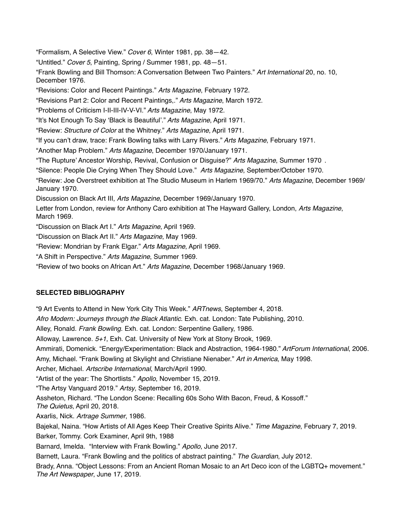"Formalism, A Selective View." *Cover 6*, Winter 1981, pp. 38—42. "Untitled." *Cover 5*, Painting, Spring / Summer 1981, pp. 48—51. "Frank Bowling and Bill Thomson: A Conversation Between Two Painters." *Art International* 20, no. 10, December 1976. "Revisions: Color and Recent Paintings." *Arts Magazine*, February 1972. "Revisions Part 2: Color and Recent Paintings,." *Arts Magazine*, March 1972. "Problems of Criticism I-II-III-IV-V-VI." *Arts Magazine*, May 1972. "It's Not Enough To Say 'Black is Beautiful'." *Arts Magazine*, April 1971. "Review: *Structure of Color* at the Whitney." *Arts Magazine*, April 1971. "If you can't draw, trace: Frank Bowling talks with Larry Rivers." *Arts Magazine*, February 1971. "Another Map Problem." *Arts Magazine*, December 1970/January 1971. "The Rupture' Ancestor Worship, Revival, Confusion or Disguise?" *Arts Magazine*, Summer 1970 . "Silence: People Die Crying When They Should Love." *Arts Magazine*, September/October 1970. "Review: Joe Overstreet exhibition at The Studio Museum in Harlem 1969/70." *Arts Magazine*, December 1969/ January 1970. Discussion on Black Art III, *Arts Magazine*, December 1969/January 1970. Letter from London, review for Anthony Caro exhibition at The Hayward Gallery, London, *Arts Magazine*, March 1969. "Discussion on Black Art I." *Arts Magazine*, April 1969. "Discussion on Black Art II." *Arts Magazine*, May 1969. "Review: Mondrian by Frank Elgar." *Arts Magazine*, April 1969. "A Shift in Perspective." *Arts Magazine*, Summer 1969.

"Review of two books on African Art." *Arts Magazine*, December 1968/January 1969.

## **SELECTED BIBLIOGRAPHY**

"9 Art Events to Attend in New York City This Week." *ARTnews*, September 4, 2018. *Afro Modern: Journeys through the Black Atlantic*. Exh. cat. London: Tate Publishing, 2010. Alley, Ronald. *Frank Bowling*. Exh. cat. London: Serpentine Gallery, 1986. Alloway, Lawrence. *5+1*, Exh. Cat. University of New York at Stony Brook, 1969. Ammirati, Domenick. "Energy/Experimentation: Black and Abstraction, 1964-1980." *ArtForum International*, 2006. Amy, Michael. "Frank Bowling at Skylight and Christiane Nienaber." *Art in America*, May 1998. Archer, Michael. *Artscribe International*, March/April 1990. "Artist of the year: The Shortlists." *Apollo*, November 15, 2019. "The Artsy Vanguard 2019." *Artsy*, September 16, 2019. Assheton, Richard. "The London Scene: Recalling 60s Soho With Bacon, Freud, & Kossoff." *The Quietus*, April 20, 2018. Axarlis, Nick. *Artrage Summer*, 1986. Bajekal, Naina. "How Artists of All Ages Keep Their Creative Spirits Alive." *Time Magazine*, February 7, 2019. Barker, Tommy. Cork Examiner, April 9th, 1988 Barnard, Imelda. "Interview with Frank Bowling." *Apollo*, June 2017. Barnett, Laura. "Frank Bowling and the politics of abstract painting." *The Guardian*, July 2012. Brady, Anna. "Object Lessons: From an Ancient Roman Mosaic to an Art Deco icon of the LGBTQ+ movement." *The Art Newspaper*, June 17, 2019.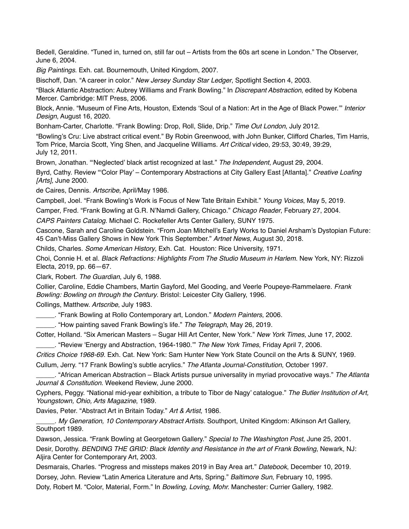Bedell, Geraldine. "Tuned in, turned on, still far out – Artists from the 60s art scene in London." The Observer, June 6, 2004.

*Big Paintings*. Exh. cat. Bournemouth, United Kingdom, 2007.

Bischoff, Dan. "A career in color." *New Jersey Sunday Star Ledger*, Spotlight Section 4, 2003.

"Black Atlantic Abstraction: Aubrey Williams and Frank Bowling." In *Discrepant Abstraction*, edited by Kobena Mercer. Cambridge: MIT Press, 2006.

Block, Annie. "Museum of Fine Arts, Houston, Extends 'Soul of a Nation: Art in the Age of Black Power.'" *Interior Design*, August 16, 2020.

Bonham-Carter, Charlotte. "Frank Bowling: Drop, Roll, Slide, Drip." *Time Out London*, July 2012.

"Bowling's Cru: Live abstract critical event." By Robin Greenwood, with John Bunker, Clifford Charles, Tim Harris, Tom Price, Marcia Scott, Ying Shen, and Jacqueline Williams. *Art Critical* video, 29:53, 30:49, 39:29, July 12, 2011.

Brown, Jonathan. "'Neglected' black artist recognized at last." *The Independent*, August 29, 2004.

Byrd, Cathy. Review "'Color Play' – Contemporary Abstractions at City Gallery East [Atlanta]." *Creative Loafing [Arts],* June 2000.

de Caires, Dennis. *Artscribe*, April/May 1986.

Campbell, Joel. "Frank Bowling's Work is Focus of New Tate Britain Exhibit." *Young Voices*, May 5, 2019.

Camper, Fred. "Frank Bowling at G.R. N'Namdi Gallery, Chicago." *Chicago Reader*, February 27, 2004.

*CAPS Painters Catalog*. Michael C. Rockefeller Arts Center Gallery, SUNY 1975.

Cascone, Sarah and Caroline Goldstein. "From Joan Mitchell's Early Works to Daniel Arsham's Dystopian Future: 45 Can't-Miss Gallery Shows in New York This September." *Artnet News*, August 30, 2018.

Childs, Charles. *Some American History*, Exh. Cat. Houston: Rice University, 1971.

Choi, Connie H. et al. *Black Refractions: Highlights From The Studio Museum in Harlem.* New York, NY: Rizzoli Electa, 2019, pp. 66—67.

Clark, Robert. *The Guardian*, July 6, 1988.

Collier, Caroline, Eddie Chambers, Martin Gayford, Mel Gooding, and Veerle Poupeye-Rammelaere. *Frank Bowling: Bowling on through the Century*. Bristol: Leicester City Gallery, 1996.

Collings, Matthew. *Artscribe*, July 1983.

\_\_\_\_\_. "Frank Bowling at Rollo Contemporary art, London." *Modern Painters*, 2006.

\_\_\_\_\_. "How painting saved Frank Bowling's life." *The Telegraph*, May 26, 2019.

Cotter, Holland. "Six American Masters – Sugar Hill Art Center, New York." *New York Times*, June 17, 2002.

\_\_\_\_\_. "Review 'Energy and Abstraction, 1964-1980.'" *The New York Times*, Friday April 7, 2006.

*Critics Choice 1968-69.* Exh. Cat. New York: Sam Hunter New York State Council on the Arts & SUNY, 1969.

Cullum, Jerry. "17 Frank Bowling's subtle acrylics." *The Atlanta Journal-Constitution*, October 1997.

\_\_\_\_\_. "African American Abstraction – Black Artists pursue universality in myriad provocative ways." *The Atlanta Journal & Constitution*. Weekend Review, June 2000.

Cyphers, Peggy. "National mid-year exhibition, a tribute to Tibor de Nagy' catalogue." *The Butler Institution of Art, Youngstown, Ohio, Arts Magazine*, 1989.

Davies, Peter. "Abstract Art in Britain Today." *Art & Artist*, 1986.

\_\_\_\_\_. *My Generation, 10 Contemporary Abstract Artists.* Southport, United Kingdom: Atkinson Art Gallery, Southport 1989.

Dawson, Jessica. "Frank Bowling at Georgetown Gallery." *Special to The Washington Post*, June 25, 2001. Desir, Dorothy. *BENDING THE GRID: Black Identity and Resistance in the art of Frank Bowling*, Newark, NJ: Aljira Center for Contemporary Art, 2003.

Desmarais, Charles. "Progress and missteps makes 2019 in Bay Area art." *Datebook*, December 10, 2019. Dorsey, John. Review "Latin America Literature and Arts, Spring." *Baltimore Sun*, February 10, 1995. Doty, Robert M. "Color, Material, Form." In *Bowling, Loving, Mohr.* Manchester: Currier Gallery, 1982.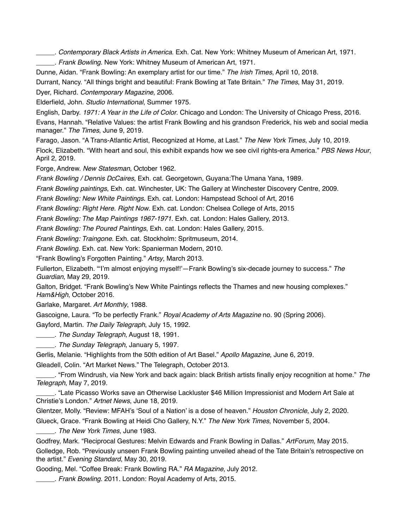\_\_\_\_\_. *Contemporary Black Artists in America*. Exh. Cat. New York: Whitney Museum of American Art, 1971.

\_\_\_\_\_. *Frank Bowling*. New York: Whitney Museum of American Art, 1971.

Dunne, Aidan. "Frank Bowling: An exemplary artist for our time." *The Irish Times*, April 10, 2018.

Durrant, Nancy. "All things bright and beautiful: Frank Bowling at Tate Britain." *The Times*, May 31, 2019.

Dyer, Richard. *Contemporary Magazine*, 2006.

Elderfield, John. *Studio International*, Summer 1975.

English, Darby. *1971: A Year in the Life of Color*. Chicago and London: The University of Chicago Press, 2016.

Evans, Hannah. "Relative Values: the artist Frank Bowling and his grandson Frederick, his web and social media manager." *The Times*, June 9, 2019.

Farago, Jason. "A Trans-Atlantic Artist, Recognized at Home, at Last." *The New York Times*, July 10, 2019. Flock, Elizabeth. "With heart and soul, this exhibit expands how we see civil rights-era America." *PBS News Hour*, April 2, 2019.

Forge, Andrew. *New Statesman*, October 1962.

*Frank Bowling / Dennis DcCaires*, Exh. cat. Georgetown, Guyana:The Umana Yana, 1989.

*Frank Bowling paintings*, Exh. cat. Winchester, UK: The Gallery at Winchester Discovery Centre, 2009.

*Frank Bowling: New White Paintings*. Exh. cat. London: Hampstead School of Art, 2016

*Frank Bowling: Right Here. Right Now*. Exh. cat. London: Chelsea College of Arts, 2015

*Frank Bowling: The Map Paintings 1967-1971*. Exh. cat. London: Hales Gallery, 2013.

*Frank Bowling: The Poured Paintings*, Exh. cat. London: Hales Gallery, 2015.

*Frank Bowling: Traingone*. Exh. cat. Stockholm: Spritmuseum, 2014.

*Frank Bowling*. Exh. cat. New York: Spanierman Modern, 2010.

"Frank Bowling's Forgotten Painting." *Artsy*, March 2013.

Fullerton, Elizabeth. "'I'm almost enjoying myself!'—Frank Bowling's six-decade journey to success." *The Guardian*, May 29, 2019.

Galton, Bridget. "Frank Bowling's New White Paintings reflects the Thames and new housing complexes." *Ham&High*, October 2016.

Garlake, Margaret. *Art Monthly*, 1988.

Gascoigne, Laura. "To be perfectly Frank." *Royal Academy of Arts Magazine* no. 90 (Spring 2006). Gayford, Martin. *The Daily Telegraph*, July 15, 1992.

\_\_\_\_\_. *The Sunday Telegraph*, August 18, 1991.

\_\_\_\_\_. *The Sunday Telegraph*, January 5, 1997.

Gerlis, Melanie. "Highlights from the 50th edition of Art Basel." *Apollo Magazine*, June 6, 2019.

Gleadell, Colin. "Art Market News." The Telegraph, October 2013.

\_\_\_\_\_. "From Windrush, via New York and back again: black British artists finally enjoy recognition at home." *The Telegraph*, May 7, 2019.

\_\_\_\_\_. "Late Picasso Works save an Otherwise Lackluster \$46 Million Impressionist and Modern Art Sale at Christie's London." *Artnet News*, June 18, 2019.

Glentzer, Molly. "Review: MFAH's 'Soul of a Nation' is a dose of heaven." *Houston Chronicle*, July 2, 2020.

Glueck, Grace. "Frank Bowling at Heidi Cho Gallery, N.Y." *The New York Times*, November 5, 2004.

\_\_\_\_\_. *The New York Times*, June 1983.

Godfrey, Mark. "Reciprocal Gestures: Melvin Edwards and Frank Bowling in Dallas." *ArtForum*, May 2015.

Golledge, Rob. "Previously unseen Frank Bowling painting unveiled ahead of the Tate Britain's retrospective on the artist." *Evening Standard*, May 30, 2019.

Gooding, Mel. "Coffee Break: Frank Bowling RA." *RA Magazine*, July 2012.

\_\_\_\_\_. *Frank Bowling*. 2011. London: Royal Academy of Arts, 2015.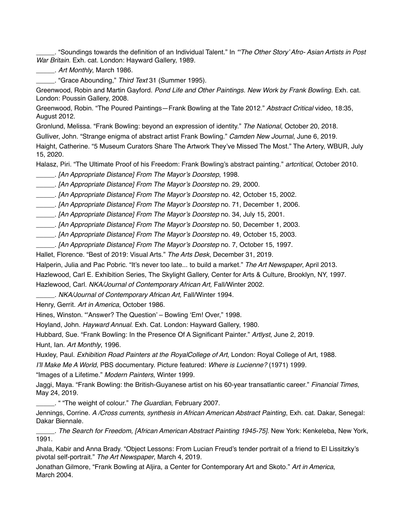\_\_\_\_\_. "Soundings towards the definition of an Individual Talent." In *"'The Other Story' Afro- Asian Artists in Post War Britain.* Exh. cat. London: Hayward Gallery, 1989.

\_\_\_\_\_. *Art Monthly*, March 1986.

\_\_\_\_\_. "Grace Abounding," *Third Text* 31 (Summer 1995).

Greenwood, Robin and Martin Gayford. *Pond Life and Other Paintings. New Work by Frank Bowling.* Exh. cat. London: Poussin Gallery, 2008.

Greenwood, Robin. "The Poured Paintings—Frank Bowling at the Tate 2012." *Abstract Critical* video, 18:35, August 2012.

Gronlund, Melissa. "Frank Bowling: beyond an expression of identity." *The National*, October 20, 2018.

Gulliver, John. "Strange enigma of abstract artist Frank Bowling." *Camden New Journal*, June 6, 2019.

Haight, Catherine. "5 Museum Curators Share The Artwork They've Missed The Most." The Artery, WBUR, July 15, 2020.

Halasz, Piri. "The Ultimate Proof of his Freedom: Frank Bowling's abstract painting." *artcritical*, October 2010.

\_\_\_\_\_. *[An Appropriate Distance] From The Mayor's Doorstep*, 1998.

\_\_\_\_\_. *[An Appropriate Distance] From The Mayor's Doorstep* no. 29, 2000.

\_\_\_\_\_. *[An Appropriate Distance] From The Mayor's Doorstep* no. 42, October 15, 2002.

\_\_\_\_\_. *[An Appropriate Distance] From The Mayor's Doorstep* no. 71, December 1, 2006.

\_\_\_\_\_. *[An Appropriate Distance] From The Mayor's Doorstep* no. 34, July 15, 2001.

\_\_\_\_\_. *[An Appropriate Distance] From The Mayor's Doorstep* no. 50, December 1, 2003.

\_\_\_\_\_. *[An Appropriate Distance] From The Mayor's Doorstep* no. 49, October 15, 2003.

\_\_\_\_\_. *[An Appropriate Distance] From The Mayor's Doorstep* no. 7, October 15, 1997.

Hallet, Florence. "Best of 2019: Visual Arts." *The Arts Desk*, December 31, 2019.

Halperin, Julia and Pac Pobric. "It's never too late... to build a market." *The Art Newspaper*, April 2013.

Hazlewood, Carl E. Exhibition Series, The Skylight Gallery, Center for Arts & Culture, Brooklyn, NY, 1997.

Hazlewood, Carl. *NKA/Journal of Contemporary African Art,* Fall/Winter 2002.

\_\_\_\_\_. *NKA/Journal of Contemporary African Art,* Fall/Winter 1994.

Henry, Gerrit. *Art in America*, October 1986.

Hines, Winston. "'Answer? The Question' – Bowling 'Em! Over," 1998.

Hoyland, John. *Hayward Annual*. Exh. Cat. London: Hayward Gallery, 1980.

Hubbard, Sue. "Frank Bowling: In the Presence Of A Significant Painter." *Artlyst*, June 2, 2019.

Hunt, Ian. *Art Monthly*, 1996.

Huxley, Paul. *Exhibition Road Painters at the RoyalCollege of Art*, London: Royal College of Art, 1988.

*I'll Make Me A World*, PBS documentary. Picture featured: *Where is Lucienne?* (1971) 1999.

"Images of a Lifetime." *Modern Painters*, Winter 1999.

Jaggi, Maya. "Frank Bowling: the British-Guyanese artist on his 60-year transatlantic career." *Financial Times*, May 24, 2019.

\_\_\_\_\_. " "The weight of colour." *The Guardian*, February 2007.

Jennings, Corrine. *A /Cross currents, synthesis in African American Abstract Painting*, Exh. cat. Dakar, Senegal: Dakar Biennale.

\_\_\_\_\_. *The Search for Freedom, [African American Abstract Painting 1945-75].* New York: Kenkeleba, New York, 1991.

Jhala, Kabir and Anna Brady. "Object Lessons: From Lucian Freud's tender portrait of a friend to El Lissitzky's pivotal self-portrait." *The Art Newspaper*, March 4, 2019.

Jonathan Gilmore, "Frank Bowling at Aljira, a Center for Contemporary Art and Skoto." *Art in America*, March 2004.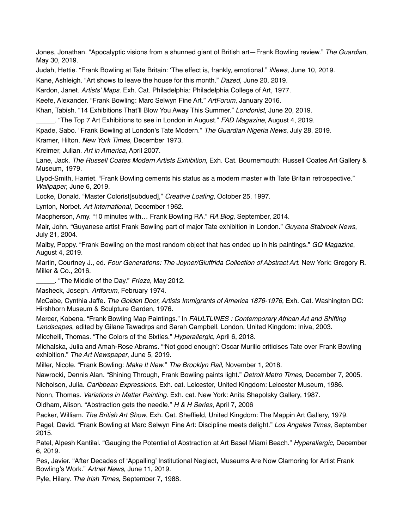Jones, Jonathan. "Apocalyptic visions from a shunned giant of British art—Frank Bowling review." *The Guardian*, May 30, 2019.

Judah, Hettie. "Frank Bowling at Tate Britain: 'The effect is, frankly, emotional." *iNews*, June 10, 2019.

Kane, Ashleigh. "Art shows to leave the house for this month." *Dazed*, June 20, 2019.

Kardon, Janet. *Artists' Maps.* Exh. Cat. Philadelphia: Philadelphia College of Art, 1977.

Keefe, Alexander. "Frank Bowling: Marc Selwyn Fine Art." *ArtForum*, January 2016.

Khan, Tabish. "14 Exhibitions That'll Blow You Away This Summer." *Londonist*, June 20, 2019.

\_\_\_\_\_. "The Top 7 Art Exhibitions to see in London in August." *FAD Magazine*, August 4, 2019.

Kpade, Sabo. "Frank Bowling at London's Tate Modern." *The Guardian Nigeria News*, July 28, 2019.

Kramer, Hilton. *New York Times*, December 1973.

Kreimer, Julian. *Art in America*, April 2007.

Lane, Jack. *The Russell Coates Modern Artists Exhibition*, Exh. Cat. Bournemouth: Russell Coates Art Gallery & Museum, 1979.

Llyod-Smith, Harriet. "Frank Bowling cements his status as a modern master with Tate Britain retrospective." *Wallpaper*, June 6, 2019.

Locke, Donald. "Master Colorist[subdued]," *Creative Loafing*, October 25, 1997.

Lynton, Norbet. *Art International*, December 1962.

Macpherson, Amy. "10 minutes with… Frank Bowling RA." *RA Blog*, September, 2014.

Mair, John. "Guyanese artist Frank Bowling part of major Tate exhibition in London." *Guyana Stabroek News*, July 21, 2004.

Malby, Poppy. "Frank Bowling on the most random object that has ended up in his paintings." *GQ Magazine*, August 4, 2019.

Martin, Courtney J., ed. *Four Generations: The Joyner/Giuffrida Collection of Abstract Art*. New York: Gregory R. Miller & Co., 2016.

\_\_\_\_\_. "The Middle of the Day." *Frieze*, May 2012.

Masheck, Joseph. *Artforum*, February 1974.

McCabe, Cynthia Jaffe. *The Golden Door, Artists Immigrants of America 1876-1976*, Exh. Cat. Washington DC: Hirshhorn Museum & Sculpture Garden, 1976.

Mercer, Kobena. "Frank Bowling Map Paintings." In *FAULTLINES : Contemporary African Art and Shifting Landscapes*, edited by Gilane Tawadrps and Sarah Campbell. London, United Kingdom: Iniva, 2003.

Micchelli, Thomas. "The Colors of the Sixties." *Hyperallergic*, April 6, 2018.

Michalska, Julia and Amah-Rose Abrams. "'Not good enough': Oscar Murillo criticises Tate over Frank Bowling exhibition." *The Art Newspaper*, June 5, 2019.

Miller, Nicole. "Frank Bowling: *Make It New*." *The Brooklyn Rail*, November 1, 2018.

Nawrocki, Dennis Alan. "Shining Through, Frank Bowling paints light." *Detroit Metro Times*, December 7, 2005.

Nicholson, Julia. *Caribbean Expressions.* Exh. cat. Leicester, United Kingdom: Leicester Museum, 1986.

Nonn, Thomas. *Variations in Matter Painting*. Exh. cat. New York: Anita Shapolsky Gallery, 1987.

Oldham, Alison. "Abstraction gets the needle." *H & H Series*, April 7, 2006

Packer, William. *The British Art Show*, Exh. Cat. Sheffield, United Kingdom: The Mappin Art Gallery, 1979.

Pagel, David. "Frank Bowling at Marc Selwyn Fine Art: Discipline meets delight." *Los Angeles Times*, September 2015.

Patel, Alpesh Kantilal. "Gauging the Potential of Abstraction at Art Basel Miami Beach." *Hyperallergic*, December 6, 2019.

Pes, Javier. "After Decades of 'Appalling' Institutional Neglect, Museums Are Now Clamoring for Artist Frank Bowling's Work." *Artnet News*, June 11, 2019.

Pyle, Hilary. *The Irish Times*, September 7, 1988.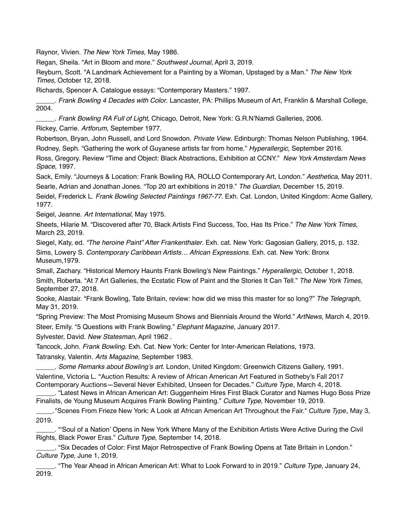Raynor, Vivien. *The New York Times*, May 1986.

Regan, Sheila. "Art in Bloom and more." *Southwest Journal*, April 3, 2019.

Reyburn, Scott. "A Landmark Achievement for a Painting by a Woman, Upstaged by a Man." *The New York Times*, October 12, 2018.

Richards, Spencer A. Catalogue essays: "Contemporary Masters." 1997.

\_\_\_\_\_. *Frank Bowling 4 Decades with Color*. Lancaster, PA: Phillips Museum of Art, Franklin & Marshall College, 2004.

\_\_\_\_\_. *Frank Bowling RA Full of Light*, Chicago, Detroit, New York: G.R.N'Namdi Galleries, 2006.

Rickey, Carrie. *Artforum*, September 1977.

Robertson, Bryan, John Russell, and Lord Snowdon. *Private View*. Edinburgh: Thomas Nelson Publishing, 1964. Rodney, Seph. "Gathering the work of Guyanese artists far from home." *Hyperallergic*, September 2016.

Ross, Gregory. Review "Time and Object: Black Abstractions, Exhibition at CCNY." *New York Amsterdam News Space*, 1997.

Sack, Emily. "Journeys & Location: Frank Bowling RA, ROLLO Contemporary Art, London." *Aesthetica*, May 2011. Searle, Adrian and Jonathan Jones. "Top 20 art exhibitions in 2019." *The Guardian*, December 15, 2019.

Seidel, Frederick L. *Frank Bowling Selected Paintings 1967-77.* Exh. Cat. London, United Kingdom: Acme Gallery, 1977.

Seigel, Jeanne. *Art International*, May 1975.

Sheets, Hilarie M. "Discovered after 70, Black Artists Find Success, Too, Has Its Price." *The New York Times*, March 23, 2019.

Siegel, Katy, ed. *"The heroine Paint" After Frankenthaler*. Exh. cat. New York: Gagosian Gallery, 2015, p. 132.

Sims, Lowery S. *Contemporary Caribbean Artists… African Expressions.* Exh. cat. New York: Bronx Museum,1979.

Small, Zachary. "Historical Memory Haunts Frank Bowling's New Paintings." *Hyperallergic*, October 1, 2018. Smith, Roberta. "At 7 Art Galleries, the Ecstatic Flow of Paint and the Stories It Can Tell." *The New York Times*, September 27, 2018.

Sooke, Alastair. "Frank Bowling, Tate Britain, review: how did we miss this master for so long?" *The Telegraph*, May 31, 2019.

"Spring Preview: The Most Promising Museum Shows and Biennials Around the World." *ArtNews*, March 4, 2019. Steer, Emily. "5 Questions with Frank Bowling." *Elephant Magazine*, January 2017.

Sylvester, David. *New Statesman*, April 1962 .

Tancock, John. *Frank Bowling.* Exh. Cat. New York: Center for Inter-American Relations, 1973.

Tatransky, Valentin. *Arts Magazine*, September 1983.

\_\_\_\_\_. *Some Remarks about Bowling's art.* London, United Kingdom: Greenwich Citizens Gallery, 1991. Valentine, Victoria L. "Auction Results: A review of African American Art Featured in Sotheby's Fall 2017 Contemporary Auctions—Several Never Exhibited, Unseen for Decades." *Culture Type*, March 4, 2018.

\_\_\_\_\_. "Latest News in African American Art: Guggenheim Hires First Black Curator and Names Hugo Boss Prize Finalists, de Young Museum Acquires Frank Bowling Painting." *Culture Type*, November 19, 2019.

\_\_\_\_\_."Scenes From Frieze New York: A Look at African American Art Throughout the Fair." *Culture Type*, May 3, 2019.

\_\_\_\_\_. "'Soul of a Nation' Opens in New York Where Many of the Exhibition Artists Were Active During the Civil Rights, Black Power Eras." *Culture Type*, September 14, 2018.

\_\_\_\_\_. "Six Decades of Color: First Major Retrospective of Frank Bowling Opens at Tate Britain in London." *Culture Type*, June 1, 2019.

\_\_\_\_\_. "The Year Ahead in African American Art: What to Look Forward to in 2019." *Culture Type*, January 24, 2019.